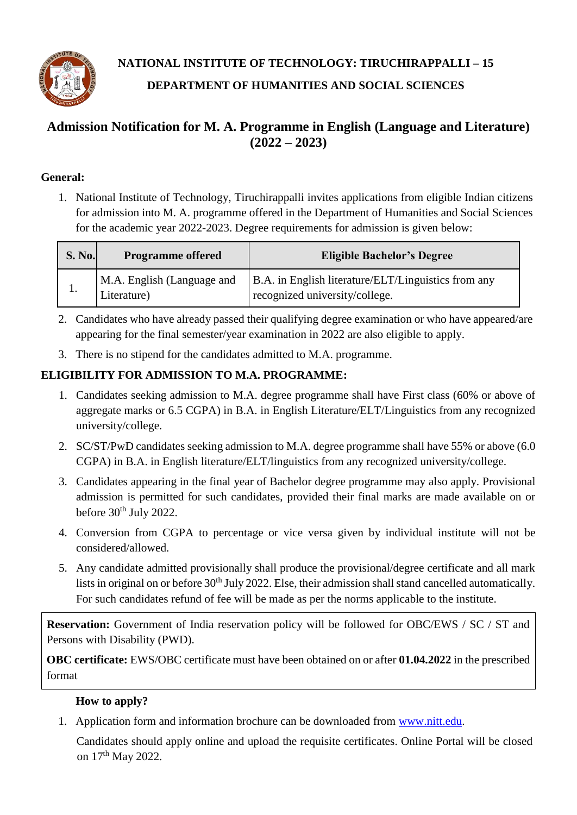

**NATIONAL INSTITUTE OF TECHNOLOGY: TIRUCHIRAPPALLI – 15 DEPARTMENT OF HUMANITIES AND SOCIAL SCIENCES**

# **Admission Notification for M. A. Programme in English (Language and Literature) (2022 – 2023)**

### **General:**

1. National Institute of Technology, Tiruchirappalli invites applications from eligible Indian citizens for admission into M. A. programme offered in the Department of Humanities and Social Sciences for the academic year 2022-2023. Degree requirements for admission is given below:

| <b>S. No.</b> | <b>Programme offered</b>                  | <b>Eligible Bachelor's Degree</b>                                                     |
|---------------|-------------------------------------------|---------------------------------------------------------------------------------------|
| <b>1.</b>     | M.A. English (Language and<br>Literature) | B.A. in English literature/ELT/Linguistics from any<br>recognized university/college. |

2. Candidates who have already passed their qualifying degree examination or who have appeared/are appearing for the final semester/year examination in 2022 are also eligible to apply.

3. There is no stipend for the candidates admitted to M.A. programme.

## **ELIGIBILITY FOR ADMISSION TO M.A. PROGRAMME:**

- 1. Candidates seeking admission to M.A. degree programme shall have First class (60% or above of aggregate marks or 6.5 CGPA) in B.A. in English Literature/ELT/Linguistics from any recognized university/college.
- 2. SC/ST/PwD candidates seeking admission to M.A. degree programme shall have 55% or above (6.0 CGPA) in B.A. in English literature/ELT/linguistics from any recognized university/college.
- 3. Candidates appearing in the final year of Bachelor degree programme may also apply. Provisional admission is permitted for such candidates, provided their final marks are made available on or before  $30<sup>th</sup>$  July 2022.
- 4. Conversion from CGPA to percentage or vice versa given by individual institute will not be considered/allowed.
- 5. Any candidate admitted provisionally shall produce the provisional/degree certificate and all mark lists in original on or before 30<sup>th</sup> July 2022. Else, their admission shall stand cancelled automatically. For such candidates refund of fee will be made as per the norms applicable to the institute.

**Reservation:** Government of India reservation policy will be followed for OBC/EWS / SC / ST and Persons with Disability (PWD).

**OBC certificate:** EWS/OBC certificate must have been obtained on or after **01.04.2022** in the prescribed format

#### **How to apply?**

1. Application form and information brochure can be downloaded from www.nitt.edu.

Candidates should apply online and upload the requisite certificates. Online Portal will be closed on 17<sup>th</sup> May 2022.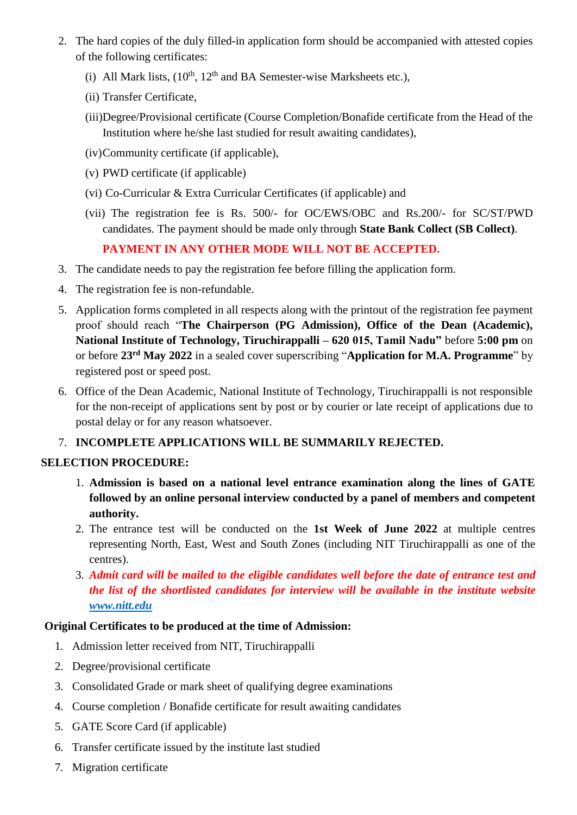- 2. The hard copies of the duly filled-in application form should be accompanied with attested copies of the following certificates:
	- (i) All Mark lists,  $(10^{th}, 12^{th}$  and BA Semester-wise Marksheets etc.),
	- (ii) Transfer Certificate,
	- (iii)Degree/Provisional certificate (Course Completion/Bonafide certificate from the Head of the Institution where he/she last studied for result awaiting candidates),
	- (iv)Community certificate (if applicable),
	- (v) PWD certificate (if applicable)
	- (vi) Co-Curricular & Extra Curricular Certificates (if applicable) and
	- (vii) The registration fee is Rs. 500/- for OC/EWS/OBC and Rs.200/- for SC/ST/PWD candidates. The payment should be made only through **State Bank Collect (SB Collect)**.

## **PAYMENT IN ANY OTHER MODE WILL NOT BE ACCEPTED.**

- 3. The candidate needs to pay the registration fee before filling the application form.
- 4. The registration fee is non-refundable.
- 5. Application forms completed in all respects along with the printout of the registration fee payment proof should reach "**The Chairperson (PG Admission), Office of the Dean (Academic), National Institute of Technology, Tiruchirappalli – 620 015, Tamil Nadu"** before **5:00 pm** on or before **23rd May 2022** in a sealed cover superscribing "**Application for M.A. Programme**" by registered post or speed post.
- 6. Office of the Dean Academic, National Institute of Technology, Tiruchirappalli is not responsible for the non-receipt of applications sent by post or by courier or late receipt of applications due to postal delay or for any reason whatsoever.

## 7. **INCOMPLETE APPLICATIONS WILL BE SUMMARILY REJECTED.**

#### **SELECTION PROCEDURE:**

- 1. **Admission is based on a national level entrance examination along the lines of GATE followed by an online personal interview conducted by a panel of members and competent authority.**
- 2. The entrance test will be conducted on the **1st Week of June 2022** at multiple centres representing North, East, West and South Zones (including NIT Tiruchirappalli as one of the centres).
- 3. *Admit card will be mailed to the eligible candidates well before the date of entrance test and the list of the shortlisted candidates for interview will be available in the institute website [www.nitt.edu](http://www.nitt.edu/)*

#### **Original Certificates to be produced at the time of Admission:**

- 1. Admission letter received from NIT, Tiruchirappalli
- 2. Degree/provisional certificate
- 3. Consolidated Grade or mark sheet of qualifying degree examinations
- 4. Course completion / Bonafide certificate for result awaiting candidates
- 5. GATE Score Card (if applicable)
- 6. Transfer certificate issued by the institute last studied
- 7. Migration certificate